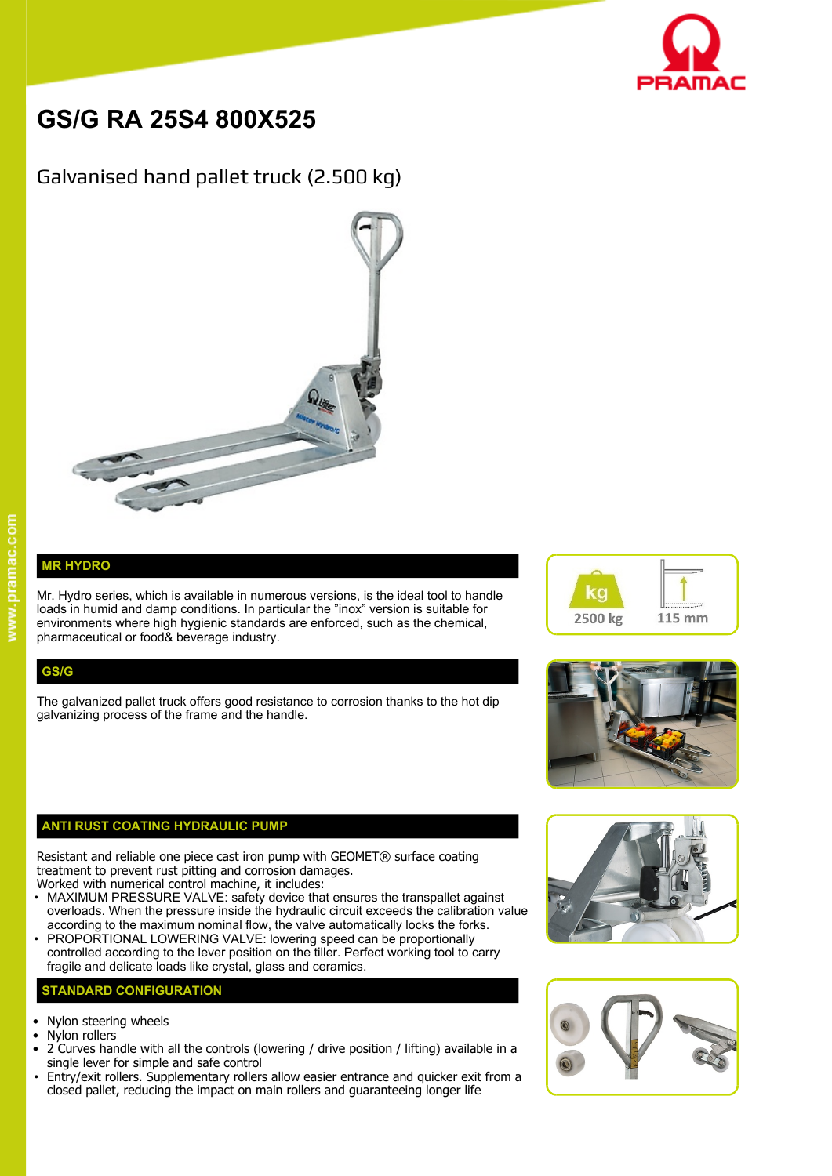

# **GS/G RA 25S4 800X525**

# Galvanised hand pallet truck (2.500 kg)



## **MR HYDRO**

Mr. Hydro series, which is available in numerous versions, is the ideal tool to handle  $\blacksquare$ loads in humid and damp conditions. In particular the "inox" version is suitable for environments where high hygienic standards are enforced, such as the chemical, pharmaceutical or food& beverage industry.

### **GS/G**

The galvanized pallet truck offers good resistance to corrosion thanks to the hot dip galvanizing process of the frame and the handle.

#### **ANTI RUST COATING HYDRAULIC PUMP**

Resistant and reliable one piece cast iron pump with GEOMET® surface coating treatment to prevent rust pitting and corrosion damages.

- Worked with numerical control machine, it includes: • MAXIMUM PRESSURE VALVE: safety device that ensures the transpallet against overloads. When the pressure inside the hydraulic circuit exceeds the calibration value according to the maximum nominal flow, the valve automatically locks the forks.
- PROPORTIONAL LOWERING VALVE: lowering speed can be proportionally controlled according to the lever position on the tiller. Perfect working tool to carry fragile and delicate loads like crystal, glass and ceramics.

#### **STANDARD CONFIGURATION**

- Nylon steering wheels
- Nylon rollers
- 2 Curves handle with all the controls (lowering / drive position / lifting) available in a single lever for simple and safe control
- Entry/exit rollers. Supplementary rollers allow easier entrance and quicker exit from a closed pallet, reducing the impact on main rollers and guaranteeing longer life







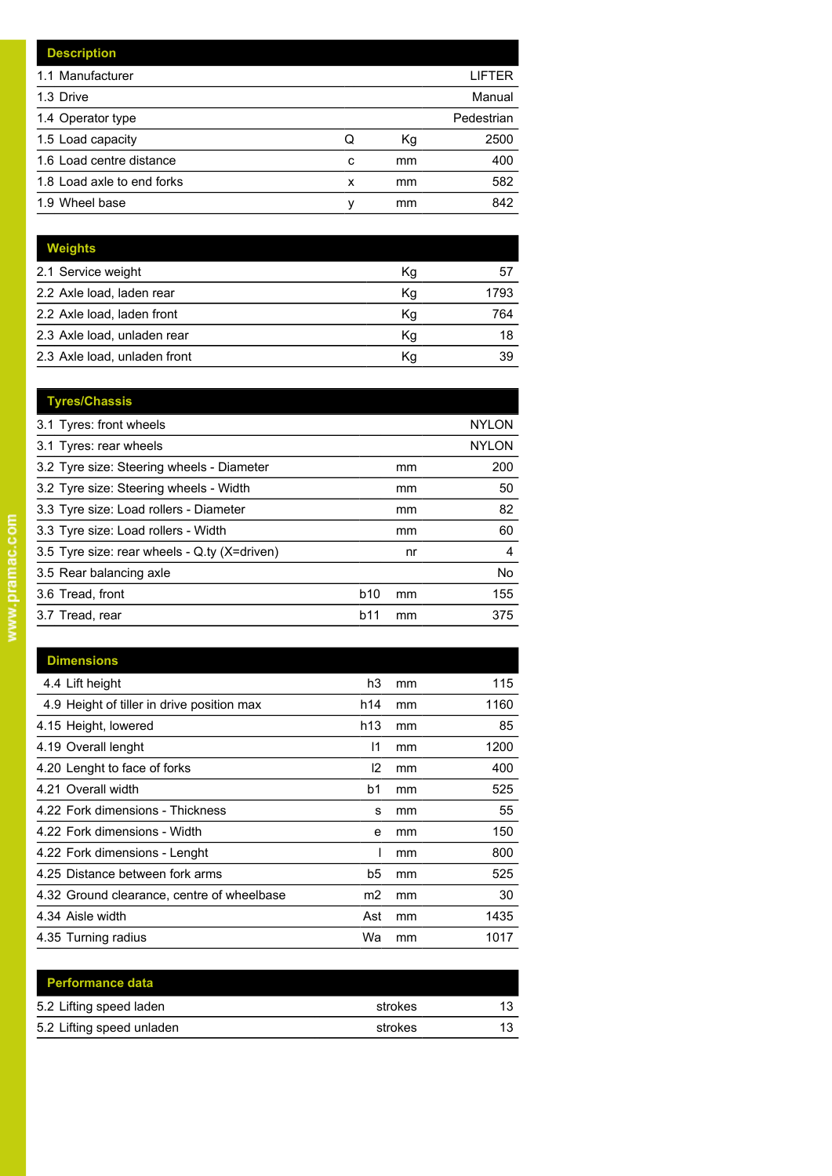|   |    | LIFTER     |
|---|----|------------|
|   |    | Manual     |
|   |    | Pedestrian |
| Q | Кg | 2500       |
| c | mm | 400        |
| x | mm | 582        |
| ν | mm | 842        |
|   |    |            |

| Weights                      |    |      |
|------------------------------|----|------|
| 2.1 Service weight           | Кg | 57   |
| 2.2 Axle load, laden rear    | Κq | 1793 |
| 2.2 Axle load, laden front   | Κg | 764  |
| 2.3 Axle load, unladen rear  | Κg | 18   |
| 2.3 Axle load, unladen front | Κq | 39   |

| <b>Tyres/Chassis</b>                         |            |    |              |
|----------------------------------------------|------------|----|--------------|
| 3.1 Tyres: front wheels                      |            |    | <b>NYLON</b> |
| 3.1 Tyres: rear wheels                       |            |    | <b>NYLON</b> |
| 3.2 Tyre size: Steering wheels - Diameter    |            | mm | 200          |
| 3.2 Tyre size: Steering wheels - Width       |            | mm | 50           |
| 3.3 Tyre size: Load rollers - Diameter       |            | mm | 82           |
| 3.3 Tyre size: Load rollers - Width          |            | mm | 60           |
| 3.5 Tyre size: rear wheels - Q.ty (X=driven) |            | nr | 4            |
| 3.5 Rear balancing axle                      |            |    | No.          |
| 3.6 Tread, front                             | <b>b10</b> | mm | 155          |
| 3.7 Tread, rear                              | b11        | mm | 375          |
|                                              |            |    |              |

| <b>Dimensions</b>                          |               |    |      |
|--------------------------------------------|---------------|----|------|
|                                            |               |    |      |
| 4.4 Lift height                            | h3            | mm | 115  |
| 4.9 Height of tiller in drive position max | h14           | mm | 1160 |
| 4.15 Height, lowered                       | h13           | mm | 85   |
| 4.19 Overall lenght                        | 11            | mm | 1200 |
| 4.20 Lenght to face of forks               | $\mathsf{I2}$ | mm | 400  |
| 4.21 Overall width                         | b1            | mm | 525  |
| 4.22 Fork dimensions - Thickness           | s             | mm | 55   |
| 4.22 Fork dimensions - Width               | е             | mm | 150  |
| 4.22 Fork dimensions - Lenght              |               | mm | 800  |
| 4.25 Distance between fork arms            | b5            | mm | 525  |
| 4.32 Ground clearance, centre of wheelbase | m2            | mm | 30   |
| 4.34 Aisle width                           | Ast           | mm | 1435 |
| 4.35 Turning radius                        | Wa            | mm | 1017 |
|                                            |               |    |      |

| <b>Performance data</b>   |         |    |
|---------------------------|---------|----|
| 5.2 Lifting speed laden   | strokes | 13 |
| 5.2 Lifting speed unladen | strokes | 13 |
|                           |         |    |